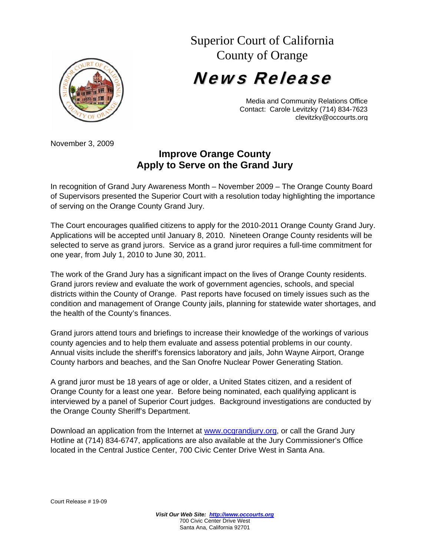

## Superior Court of California County of Orange

News Release

Media and Community Relations Office Contact: Carole Levitzky (714) 834-7623 clevitzky@occourts.org

November 3, 2009

## **Improve Orange County Apply to Serve on the Grand Jury**

In recognition of Grand Jury Awareness Month – November 2009 – The Orange County Board of Supervisors presented the Superior Court with a resolution today highlighting the importance of serving on the Orange County Grand Jury.

The Court encourages qualified citizens to apply for the 2010-2011 Orange County Grand Jury. Applications will be accepted until January 8, 2010. Nineteen Orange County residents will be selected to serve as grand jurors. Service as a grand juror requires a full-time commitment for one year, from July 1, 2010 to June 30, 2011.

The work of the Grand Jury has a significant impact on the lives of Orange County residents. Grand jurors review and evaluate the work of government agencies, schools, and special districts within the County of Orange. Past reports have focused on timely issues such as the condition and management of Orange County jails, planning for statewide water shortages, and the health of the County's finances.

Grand jurors attend tours and briefings to increase their knowledge of the workings of various county agencies and to help them evaluate and assess potential problems in our county. Annual visits include the sheriff's forensics laboratory and jails, John Wayne Airport, Orange County harbors and beaches, and the San Onofre Nuclear Power Generating Station.

A grand juror must be 18 years of age or older, a United States citizen, and a resident of Orange County for a least one year. Before being nominated, each qualifying applicant is interviewed by a panel of Superior Court judges. Background investigations are conducted by the Orange County Sheriff's Department.

Download an application from the Internet at www.ocgrandjury.org, or call the Grand Jury Hotline at (714) 834-6747, applications are also available at the Jury Commissioner's Office located in the Central Justice Center, 700 Civic Center Drive West in Santa Ana.

Court Release # 19-09